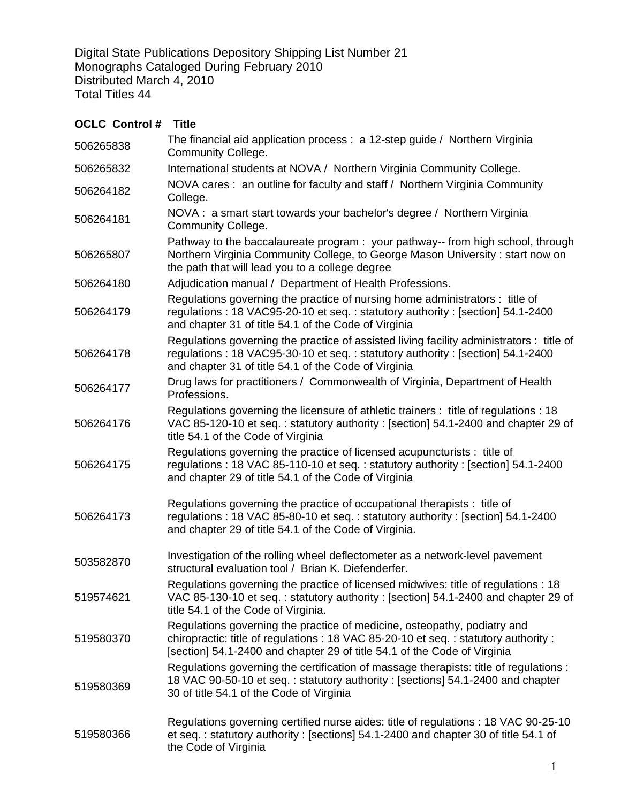Digital State Publications Depository Shipping List Number 21 Monographs Cataloged During February 2010 Distributed March 4, 2010 Total Titles 44

## **OCLC Control # Title** 506265838 The financial aid application process : a 12-step guide / Northern Virginia Community College. 506265832 International students at NOVA / Northern Virginia Community College. 506264182 NOVA cares : an outline for faculty and staff / Northern Virginia Community College. 506264181 NOVA : a smart start towards your bachelor's degree / Northern Virginia Community College. 506265807 Pathway to the baccalaureate program : your pathway-- from high school, through Northern Virginia Community College, to George Mason University : start now on the path that will lead you to a college degree 506264180 Adjudication manual / Department of Health Professions. 506264179 Regulations governing the practice of nursing home administrators : title of regulations : 18 VAC95-20-10 et seq. : statutory authority : [section] 54.1-2400 and chapter 31 of title 54.1 of the Code of Virginia 506264178 Regulations governing the practice of assisted living facility administrators : title of regulations : 18 VAC95-30-10 et seq. : statutory authority : [section] 54.1-2400 and chapter 31 of title 54.1 of the Code of Virginia 506264177 Drug laws for practitioners / Commonwealth of Virginia, Department of Health Professions. 506264176 Regulations governing the licensure of athletic trainers : title of regulations : 18 VAC 85-120-10 et seq. : statutory authority : [section] 54.1-2400 and chapter 29 of title 54.1 of the Code of Virginia 506264175 Regulations governing the practice of licensed acupuncturists : title of regulations : 18 VAC 85-110-10 et seq. : statutory authority : [section] 54.1-2400 and chapter 29 of title 54.1 of the Code of Virginia 506264173 Regulations governing the practice of occupational therapists : title of regulations : 18 VAC 85-80-10 et seq. : statutory authority : [section] 54.1-2400 and chapter 29 of title 54.1 of the Code of Virginia. 503582870 Investigation of the rolling wheel deflectometer as a network-level pavement structural evaluation tool / Brian K. Diefenderfer. 519574621 Regulations governing the practice of licensed midwives: title of regulations : 18 VAC 85-130-10 et seq. : statutory authority : [section] 54.1-2400 and chapter 29 of title 54.1 of the Code of Virginia. 519580370 Regulations governing the practice of medicine, osteopathy, podiatry and chiropractic: title of regulations : 18 VAC 85-20-10 et seq. : statutory authority : [section] 54.1-2400 and chapter 29 of title 54.1 of the Code of Virginia 519580369 Regulations governing the certification of massage therapists: title of regulations : 18 VAC 90-50-10 et seq. : statutory authority : [sections] 54.1-2400 and chapter 30 of title 54.1 of the Code of Virginia 519580366 Regulations governing certified nurse aides: title of regulations : 18 VAC 90-25-10 et seq. : statutory authority : [sections] 54.1-2400 and chapter 30 of title 54.1 of the Code of Virginia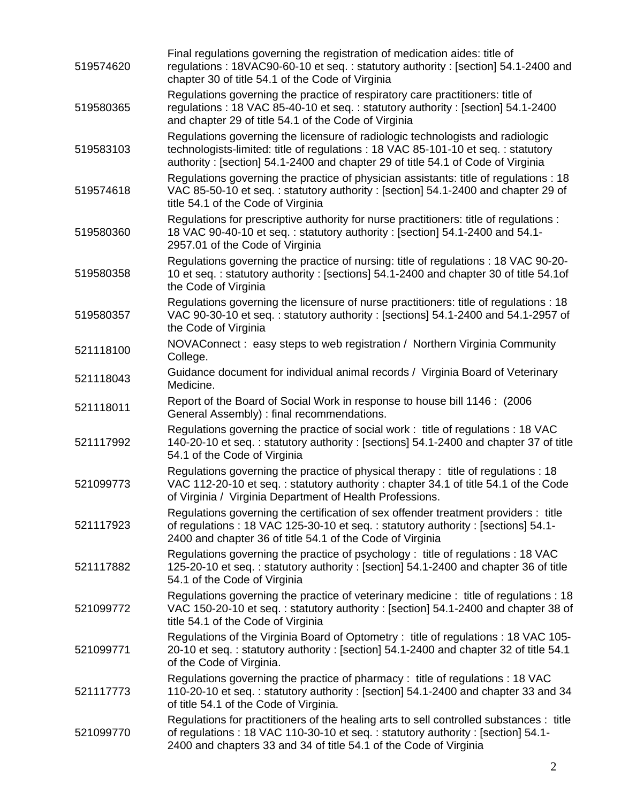| 519574620 | Final regulations governing the registration of medication aides: title of<br>regulations: 18VAC90-60-10 et seq.: statutory authority: [section] 54.1-2400 and<br>chapter 30 of title 54.1 of the Code of Virginia                                    |
|-----------|-------------------------------------------------------------------------------------------------------------------------------------------------------------------------------------------------------------------------------------------------------|
| 519580365 | Regulations governing the practice of respiratory care practitioners: title of<br>regulations: 18 VAC 85-40-10 et seq.: statutory authority: [section] 54.1-2400<br>and chapter 29 of title 54.1 of the Code of Virginia                              |
| 519583103 | Regulations governing the licensure of radiologic technologists and radiologic<br>technologists-limited: title of regulations: 18 VAC 85-101-10 et seg.: statutory<br>authority: [section] 54.1-2400 and chapter 29 of title 54.1 of Code of Virginia |
| 519574618 | Regulations governing the practice of physician assistants: title of regulations : 18<br>VAC 85-50-10 et seq.: statutory authority: [section] 54.1-2400 and chapter 29 of<br>title 54.1 of the Code of Virginia                                       |
| 519580360 | Regulations for prescriptive authority for nurse practitioners: title of regulations :<br>18 VAC 90-40-10 et seq.: statutory authority: [section] 54.1-2400 and 54.1-<br>2957.01 of the Code of Virginia                                              |
| 519580358 | Regulations governing the practice of nursing: title of regulations : 18 VAC 90-20-<br>10 et seq.: statutory authority : [sections] 54.1-2400 and chapter 30 of title 54.1 of<br>the Code of Virginia                                                 |
| 519580357 | Regulations governing the licensure of nurse practitioners: title of regulations : 18<br>VAC 90-30-10 et seq.: statutory authority: [sections] 54.1-2400 and 54.1-2957 of<br>the Code of Virginia                                                     |
| 521118100 | NOVAConnect: easy steps to web registration / Northern Virginia Community<br>College.                                                                                                                                                                 |
| 521118043 | Guidance document for individual animal records / Virginia Board of Veterinary<br>Medicine.                                                                                                                                                           |
| 521118011 | Report of the Board of Social Work in response to house bill 1146 : (2006)<br>General Assembly) : final recommendations.                                                                                                                              |
| 521117992 | Regulations governing the practice of social work : title of regulations : 18 VAC<br>140-20-10 et seq.: statutory authority: [sections] 54.1-2400 and chapter 37 of title<br>54.1 of the Code of Virginia                                             |
| 521099773 | Regulations governing the practice of physical therapy: title of regulations : 18<br>VAC 112-20-10 et seq.: statutory authority: chapter 34.1 of title 54.1 of the Code<br>of Virginia / Virginia Department of Health Professions.                   |
| 521117923 | Regulations governing the certification of sex offender treatment providers : title<br>of regulations : 18 VAC 125-30-10 et seq. : statutory authority : [sections] 54.1-<br>2400 and chapter 36 of title 54.1 of the Code of Virginia                |
| 521117882 | Regulations governing the practice of psychology : title of regulations : 18 VAC<br>125-20-10 et seq.: statutory authority: [section] 54.1-2400 and chapter 36 of title<br>54.1 of the Code of Virginia                                               |
| 521099772 | Regulations governing the practice of veterinary medicine : title of regulations : 18<br>VAC 150-20-10 et seq.: statutory authority: [section] 54.1-2400 and chapter 38 of<br>title 54.1 of the Code of Virginia                                      |
| 521099771 | Regulations of the Virginia Board of Optometry: title of regulations: 18 VAC 105-<br>20-10 et seq.: statutory authority: [section] 54.1-2400 and chapter 32 of title 54.1<br>of the Code of Virginia.                                                 |
| 521117773 | Regulations governing the practice of pharmacy: title of regulations: 18 VAC<br>110-20-10 et seq.: statutory authority: [section] 54.1-2400 and chapter 33 and 34<br>of title 54.1 of the Code of Virginia.                                           |
| 521099770 | Regulations for practitioners of the healing arts to sell controlled substances : title<br>of regulations: 18 VAC 110-30-10 et seq.: statutory authority: [section] 54.1-<br>2400 and chapters 33 and 34 of title 54.1 of the Code of Virginia        |